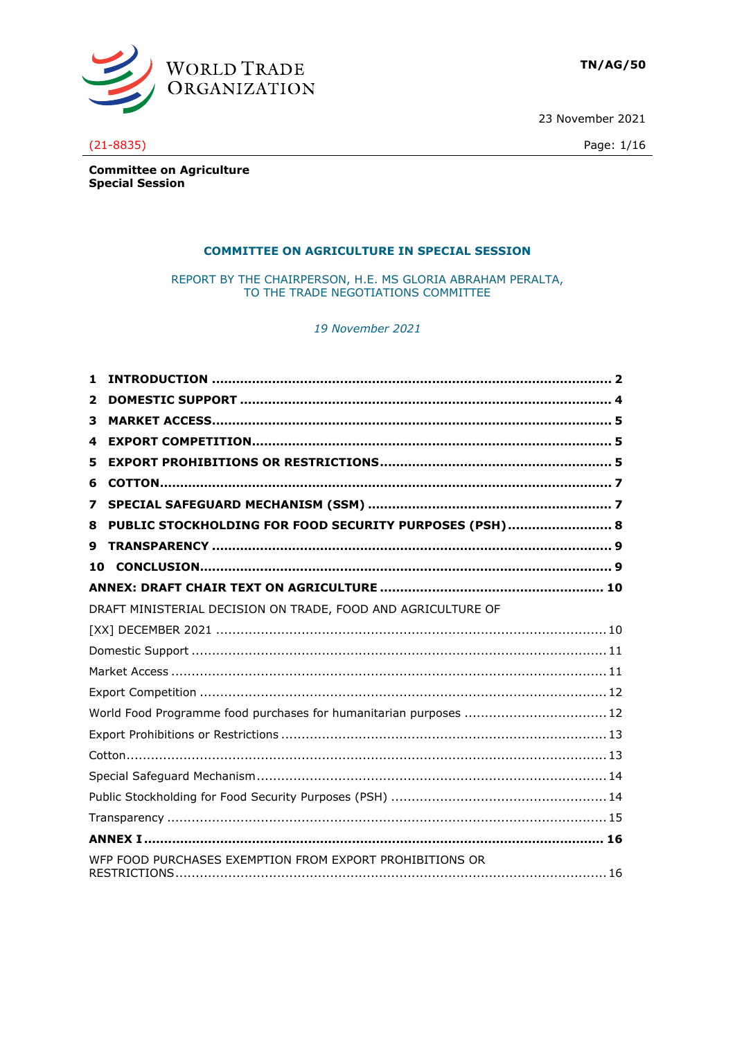

23 November 2021



# $(21 - 8835)$

**Committee on Agriculture Special Session** 

# **COMMITTEE ON AGRICULTURE IN SPECIAL SESSION**

REPORT BY THE CHAIRPERSON, H.E. MS GLORIA ABRAHAM PERALTA, TO THE TRADE NEGOTIATIONS COMMITTEE

19 November 2021

| 1. |                                                                   |  |
|----|-------------------------------------------------------------------|--|
| 2  |                                                                   |  |
| 3  |                                                                   |  |
| 4  |                                                                   |  |
| 5  |                                                                   |  |
| 6  |                                                                   |  |
| 7  |                                                                   |  |
| 8  | PUBLIC STOCKHOLDING FOR FOOD SECURITY PURPOSES (PSH)  8           |  |
| 9  |                                                                   |  |
| 10 |                                                                   |  |
|    |                                                                   |  |
|    | DRAFT MINISTERIAL DECISION ON TRADE, FOOD AND AGRICULTURE OF      |  |
|    |                                                                   |  |
|    |                                                                   |  |
|    |                                                                   |  |
|    |                                                                   |  |
|    | World Food Programme food purchases for humanitarian purposes  12 |  |
|    |                                                                   |  |
|    |                                                                   |  |
|    |                                                                   |  |
|    |                                                                   |  |
|    |                                                                   |  |
|    |                                                                   |  |
|    | WFP FOOD PURCHASES EXEMPTION FROM EXPORT PROHIBITIONS OR          |  |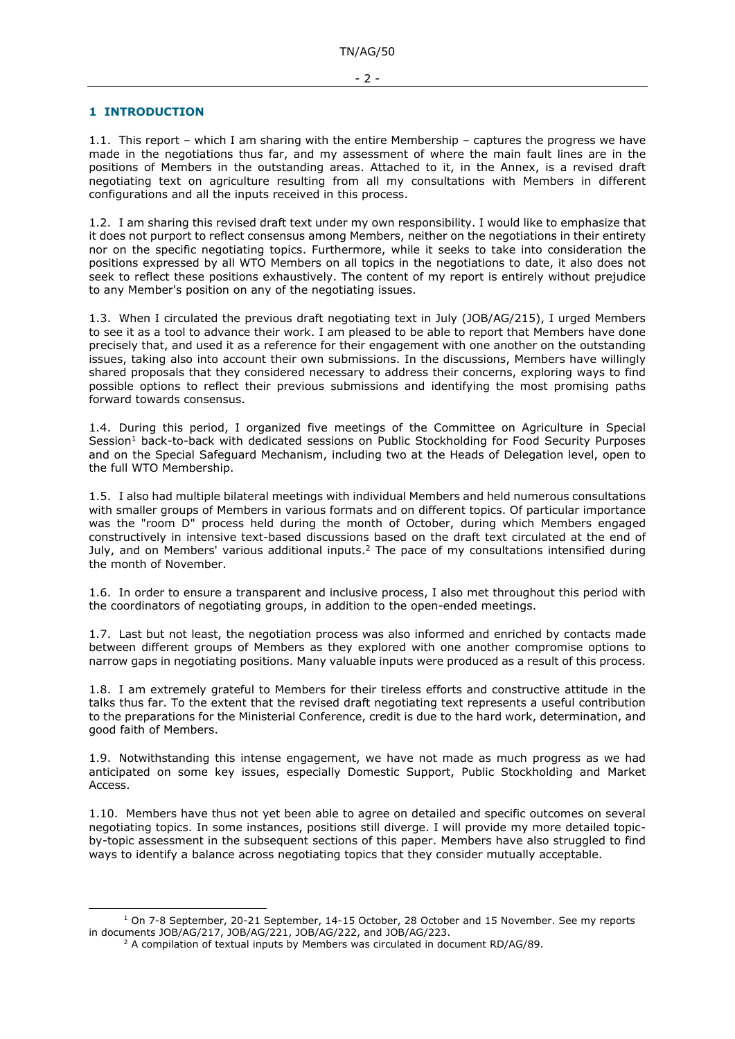# <span id="page-1-0"></span>**1 INTRODUCTION**

1.1. This report – which I am sharing with the entire Membership – captures the progress we have made in the negotiations thus far, and my assessment of where the main fault lines are in the positions of Members in the outstanding areas. Attached to it, in the Annex, is a revised draft negotiating text on agriculture resulting from all my consultations with Members in different configurations and all the inputs received in this process.

1.2. I am sharing this revised draft text under my own responsibility. I would like to emphasize that it does not purport to reflect consensus among Members, neither on the negotiations in their entirety nor on the specific negotiating topics. Furthermore, while it seeks to take into consideration the positions expressed by all WTO Members on all topics in the negotiations to date, it also does not seek to reflect these positions exhaustively. The content of my report is entirely without prejudice to any Member's position on any of the negotiating issues.

1.3. When I circulated the previous draft negotiating text in July (JOB/AG/215), I urged Members to see it as a tool to advance their work. I am pleased to be able to report that Members have done precisely that, and used it as a reference for their engagement with one another on the outstanding issues, taking also into account their own submissions. In the discussions, Members have willingly shared proposals that they considered necessary to address their concerns, exploring ways to find possible options to reflect their previous submissions and identifying the most promising paths forward towards consensus.

1.4. During this period, I organized five meetings of the Committee on Agriculture in Special Session<sup>1</sup> back-to-back with dedicated sessions on Public Stockholding for Food Security Purposes and on the Special Safeguard Mechanism, including two at the Heads of Delegation level, open to the full WTO Membership.

1.5. I also had multiple bilateral meetings with individual Members and held numerous consultations with smaller groups of Members in various formats and on different topics. Of particular importance was the "room D" process held during the month of October, during which Members engaged constructively in intensive text-based discussions based on the draft text circulated at the end of July, and on Members' various additional inputs.<sup>2</sup> The pace of my consultations intensified during the month of November.

1.6. In order to ensure a transparent and inclusive process, I also met throughout this period with the coordinators of negotiating groups, in addition to the open-ended meetings.

1.7. Last but not least, the negotiation process was also informed and enriched by contacts made between different groups of Members as they explored with one another compromise options to narrow gaps in negotiating positions. Many valuable inputs were produced as a result of this process.

1.8. I am extremely grateful to Members for their tireless efforts and constructive attitude in the talks thus far. To the extent that the revised draft negotiating text represents a useful contribution to the preparations for the Ministerial Conference, credit is due to the hard work, determination, and good faith of Members.

1.9. Notwithstanding this intense engagement, we have not made as much progress as we had anticipated on some key issues, especially Domestic Support, Public Stockholding and Market Access.

1.10. Members have thus not yet been able to agree on detailed and specific outcomes on several negotiating topics. In some instances, positions still diverge. I will provide my more detailed topicby-topic assessment in the subsequent sections of this paper. Members have also struggled to find ways to identify a balance across negotiating topics that they consider mutually acceptable.

<sup>&</sup>lt;sup>1</sup> On 7-8 September, 20-21 September, 14-15 October, 28 October and 15 November. See my reports in documents JOB/AG/217, JOB/AG/221, JOB/AG/222, and JOB/AG/223.

<sup>&</sup>lt;sup>2</sup> A compilation of textual inputs by Members was circulated in document RD/AG/89.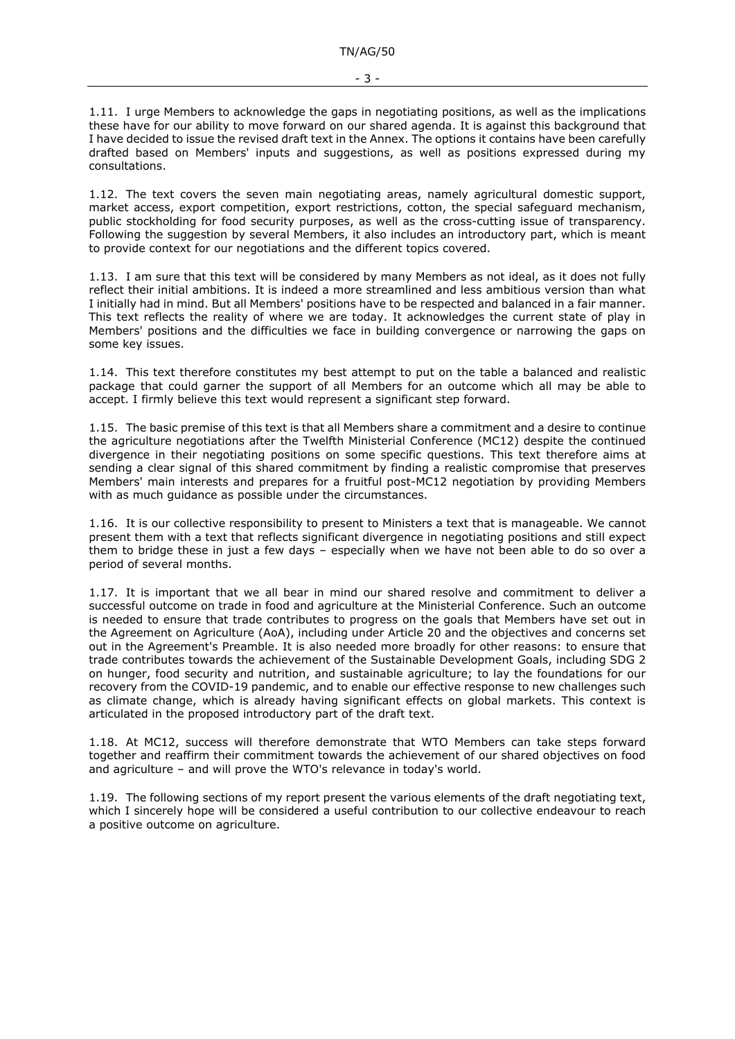1.11. I urge Members to acknowledge the gaps in negotiating positions, as well as the implications these have for our ability to move forward on our shared agenda. It is against this background that I have decided to issue the revised draft text in the Annex. The options it contains have been carefully drafted based on Members' inputs and suggestions, as well as positions expressed during my consultations.

1.12. The text covers the seven main negotiating areas, namely agricultural domestic support, market access, export competition, export restrictions, cotton, the special safeguard mechanism, public stockholding for food security purposes, as well as the cross-cutting issue of transparency. Following the suggestion by several Members, it also includes an introductory part, which is meant to provide context for our negotiations and the different topics covered.

1.13. I am sure that this text will be considered by many Members as not ideal, as it does not fully reflect their initial ambitions. It is indeed a more streamlined and less ambitious version than what I initially had in mind. But all Members' positions have to be respected and balanced in a fair manner. This text reflects the reality of where we are today. It acknowledges the current state of play in Members' positions and the difficulties we face in building convergence or narrowing the gaps on some key issues.

1.14. This text therefore constitutes my best attempt to put on the table a balanced and realistic package that could garner the support of all Members for an outcome which all may be able to accept. I firmly believe this text would represent a significant step forward.

1.15. The basic premise of this text is that all Members share a commitment and a desire to continue the agriculture negotiations after the Twelfth Ministerial Conference (MC12) despite the continued divergence in their negotiating positions on some specific questions. This text therefore aims at sending a clear signal of this shared commitment by finding a realistic compromise that preserves Members' main interests and prepares for a fruitful post-MC12 negotiation by providing Members with as much guidance as possible under the circumstances.

1.16. It is our collective responsibility to present to Ministers a text that is manageable. We cannot present them with a text that reflects significant divergence in negotiating positions and still expect them to bridge these in just a few days – especially when we have not been able to do so over a period of several months.

1.17. It is important that we all bear in mind our shared resolve and commitment to deliver a successful outcome on trade in food and agriculture at the Ministerial Conference. Such an outcome is needed to ensure that trade contributes to progress on the goals that Members have set out in the Agreement on Agriculture (AoA), including under Article 20 and the objectives and concerns set out in the Agreement's Preamble. It is also needed more broadly for other reasons: to ensure that trade contributes towards the achievement of the Sustainable Development Goals, including SDG 2 on hunger, food security and nutrition, and sustainable agriculture; to lay the foundations for our recovery from the COVID-19 pandemic, and to enable our effective response to new challenges such as climate change, which is already having significant effects on global markets. This context is articulated in the proposed introductory part of the draft text.

1.18. At MC12, success will therefore demonstrate that WTO Members can take steps forward together and reaffirm their commitment towards the achievement of our shared objectives on food and agriculture – and will prove the WTO's relevance in today's world.

1.19. The following sections of my report present the various elements of the draft negotiating text, which I sincerely hope will be considered a useful contribution to our collective endeavour to reach a positive outcome on agriculture.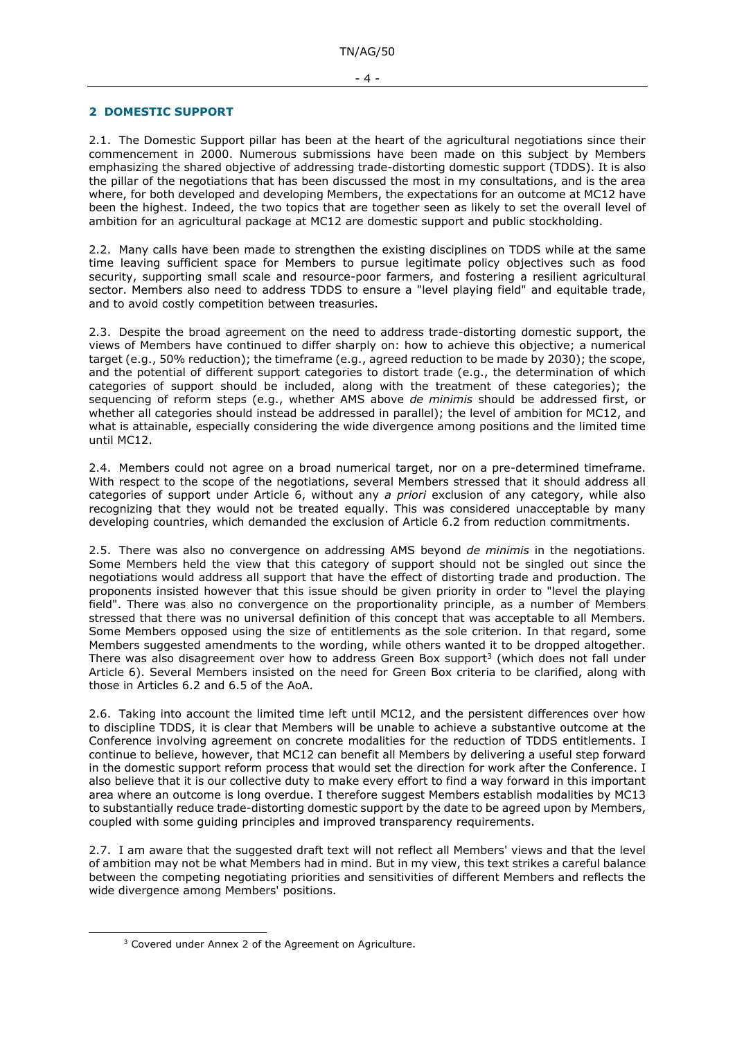### <span id="page-3-0"></span>**2 DOMESTIC SUPPORT**

2.1. The Domestic Support pillar has been at the heart of the agricultural negotiations since their commencement in 2000. Numerous submissions have been made on this subject by Members emphasizing the shared objective of addressing trade-distorting domestic support (TDDS). It is also the pillar of the negotiations that has been discussed the most in my consultations, and is the area where, for both developed and developing Members, the expectations for an outcome at MC12 have been the highest. Indeed, the two topics that are together seen as likely to set the overall level of ambition for an agricultural package at MC12 are domestic support and public stockholding.

2.2. Many calls have been made to strengthen the existing disciplines on TDDS while at the same time leaving sufficient space for Members to pursue legitimate policy objectives such as food security, supporting small scale and resource-poor farmers, and fostering a resilient agricultural sector. Members also need to address TDDS to ensure a "level playing field" and equitable trade, and to avoid costly competition between treasuries.

2.3. Despite the broad agreement on the need to address trade-distorting domestic support, the views of Members have continued to differ sharply on: how to achieve this objective; a numerical target (e.g., 50% reduction); the timeframe (e.g., agreed reduction to be made by 2030); the scope, and the potential of different support categories to distort trade (e.g., the determination of which categories of support should be included, along with the treatment of these categories); the sequencing of reform steps (e.g., whether AMS above *de minimis* should be addressed first, or whether all categories should instead be addressed in parallel); the level of ambition for MC12, and what is attainable, especially considering the wide divergence among positions and the limited time until MC12.

2.4. Members could not agree on a broad numerical target, nor on a pre-determined timeframe. With respect to the scope of the negotiations, several Members stressed that it should address all categories of support under Article 6, without any *a priori* exclusion of any category, while also recognizing that they would not be treated equally. This was considered unacceptable by many developing countries, which demanded the exclusion of Article 6.2 from reduction commitments.

2.5. There was also no convergence on addressing AMS beyond *de minimis* in the negotiations. Some Members held the view that this category of support should not be singled out since the negotiations would address all support that have the effect of distorting trade and production. The proponents insisted however that this issue should be given priority in order to "level the playing field". There was also no convergence on the proportionality principle, as a number of Members stressed that there was no universal definition of this concept that was acceptable to all Members. Some Members opposed using the size of entitlements as the sole criterion. In that regard, some Members suggested amendments to the wording, while others wanted it to be dropped altogether. There was also disagreement over how to address Green Box support<sup>3</sup> (which does not fall under Article 6). Several Members insisted on the need for Green Box criteria to be clarified, along with those in Articles 6.2 and 6.5 of the AoA.

2.6. Taking into account the limited time left until MC12, and the persistent differences over how to discipline TDDS, it is clear that Members will be unable to achieve a substantive outcome at the Conference involving agreement on concrete modalities for the reduction of TDDS entitlements. I continue to believe, however, that MC12 can benefit all Members by delivering a useful step forward in the domestic support reform process that would set the direction for work after the Conference. I also believe that it is our collective duty to make every effort to find a way forward in this important area where an outcome is long overdue. I therefore suggest Members establish modalities by MC13 to substantially reduce trade-distorting domestic support by the date to be agreed upon by Members, coupled with some guiding principles and improved transparency requirements.

2.7. I am aware that the suggested draft text will not reflect all Members' views and that the level of ambition may not be what Members had in mind. But in my view, this text strikes a careful balance between the competing negotiating priorities and sensitivities of different Members and reflects the wide divergence among Members' positions.

<sup>&</sup>lt;sup>3</sup> Covered under Annex 2 of the Agreement on Agriculture.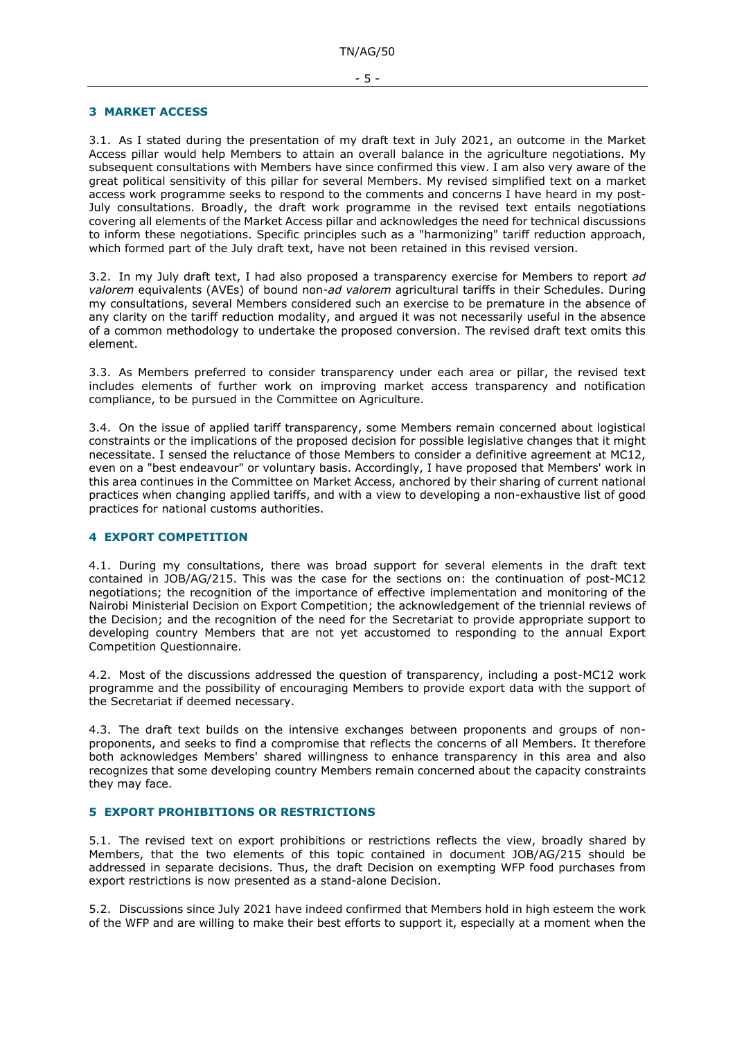#### <span id="page-4-0"></span>**3 MARKET ACCESS**

3.1. As I stated during the presentation of my draft text in July 2021, an outcome in the Market Access pillar would help Members to attain an overall balance in the agriculture negotiations. My subsequent consultations with Members have since confirmed this view. I am also very aware of the great political sensitivity of this pillar for several Members. My revised simplified text on a market access work programme seeks to respond to the comments and concerns I have heard in my post-July consultations. Broadly, the draft work programme in the revised text entails negotiations covering all elements of the Market Access pillar and acknowledges the need for technical discussions to inform these negotiations. Specific principles such as a "harmonizing" tariff reduction approach, which formed part of the July draft text, have not been retained in this revised version.

3.2. In my July draft text, I had also proposed a transparency exercise for Members to report *ad valorem* equivalents (AVEs) of bound non-*ad valorem* agricultural tariffs in their Schedules. During my consultations, several Members considered such an exercise to be premature in the absence of any clarity on the tariff reduction modality, and argued it was not necessarily useful in the absence of a common methodology to undertake the proposed conversion. The revised draft text omits this element.

3.3. As Members preferred to consider transparency under each area or pillar, the revised text includes elements of further work on improving market access transparency and notification compliance, to be pursued in the Committee on Agriculture.

3.4. On the issue of applied tariff transparency, some Members remain concerned about logistical constraints or the implications of the proposed decision for possible legislative changes that it might necessitate. I sensed the reluctance of those Members to consider a definitive agreement at MC12, even on a "best endeavour" or voluntary basis. Accordingly, I have proposed that Members' work in this area continues in the Committee on Market Access, anchored by their sharing of current national practices when changing applied tariffs, and with a view to developing a non-exhaustive list of good practices for national customs authorities.

# <span id="page-4-1"></span>**4 EXPORT COMPETITION**

4.1. During my consultations, there was broad support for several elements in the draft text contained in JOB/AG/215. This was the case for the sections on: the continuation of post-MC12 negotiations; the recognition of the importance of effective implementation and monitoring of the Nairobi Ministerial Decision on Export Competition; the acknowledgement of the triennial reviews of the Decision; and the recognition of the need for the Secretariat to provide appropriate support to developing country Members that are not yet accustomed to responding to the annual Export Competition Questionnaire.

4.2. Most of the discussions addressed the question of transparency, including a post-MC12 work programme and the possibility of encouraging Members to provide export data with the support of the Secretariat if deemed necessary.

4.3. The draft text builds on the intensive exchanges between proponents and groups of nonproponents, and seeks to find a compromise that reflects the concerns of all Members. It therefore both acknowledges Members' shared willingness to enhance transparency in this area and also recognizes that some developing country Members remain concerned about the capacity constraints they may face.

# <span id="page-4-2"></span>**5 EXPORT PROHIBITIONS OR RESTRICTIONS**

5.1. The revised text on export prohibitions or restrictions reflects the view, broadly shared by Members, that the two elements of this topic contained in document JOB/AG/215 should be addressed in separate decisions. Thus, the draft Decision on exempting WFP food purchases from export restrictions is now presented as a stand-alone Decision.

5.2. Discussions since July 2021 have indeed confirmed that Members hold in high esteem the work of the WFP and are willing to make their best efforts to support it, especially at a moment when the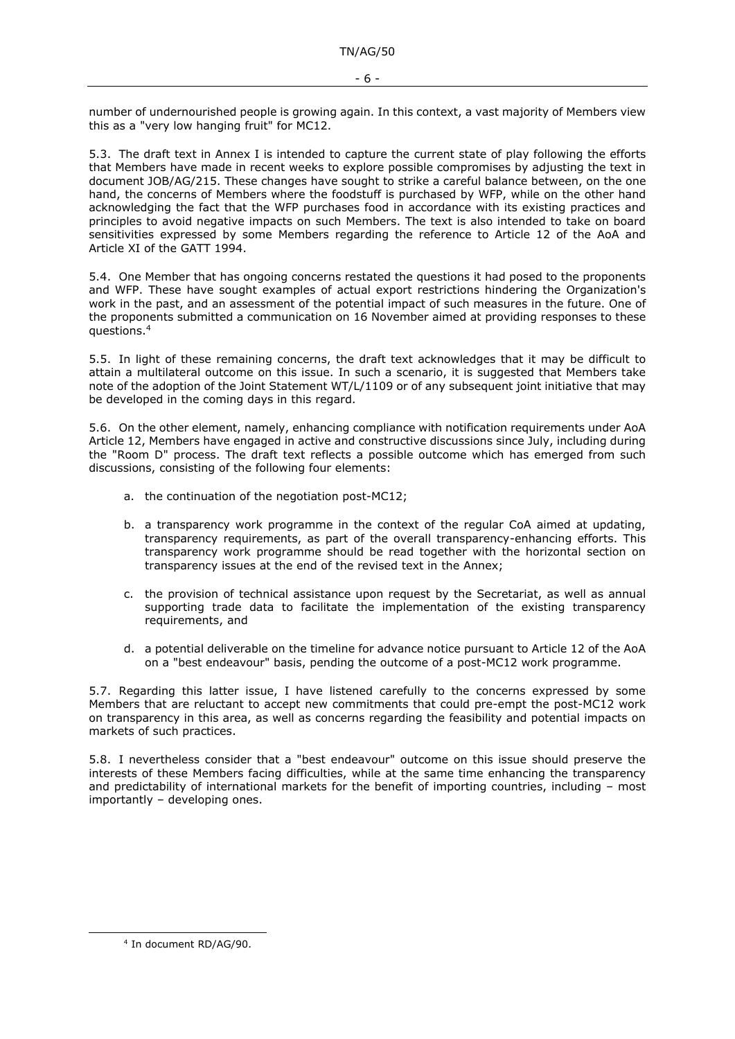number of undernourished people is growing again. In this context, a vast majority of Members view this as a "very low hanging fruit" for MC12.

5.3. The draft text in Annex I is intended to capture the current state of play following the efforts that Members have made in recent weeks to explore possible compromises by adjusting the text in document JOB/AG/215. These changes have sought to strike a careful balance between, on the one hand, the concerns of Members where the foodstuff is purchased by WFP, while on the other hand acknowledging the fact that the WFP purchases food in accordance with its existing practices and principles to avoid negative impacts on such Members. The text is also intended to take on board sensitivities expressed by some Members regarding the reference to Article 12 of the AoA and Article XI of the GATT 1994.

5.4. One Member that has ongoing concerns restated the questions it had posed to the proponents and WFP. These have sought examples of actual export restrictions hindering the Organization's work in the past, and an assessment of the potential impact of such measures in the future. One of the proponents submitted a communication on 16 November aimed at providing responses to these questions.<sup>4</sup>

5.5. In light of these remaining concerns, the draft text acknowledges that it may be difficult to attain a multilateral outcome on this issue. In such a scenario, it is suggested that Members take note of the adoption of the Joint Statement WT/L/1109 or of any subsequent joint initiative that may be developed in the coming days in this regard.

5.6. On the other element, namely, enhancing compliance with notification requirements under AoA Article 12, Members have engaged in active and constructive discussions since July, including during the "Room D" process. The draft text reflects a possible outcome which has emerged from such discussions, consisting of the following four elements:

- a. the continuation of the negotiation post-MC12;
- b. a transparency work programme in the context of the regular CoA aimed at updating, transparency requirements, as part of the overall transparency-enhancing efforts. This transparency work programme should be read together with the horizontal section on transparency issues at the end of the revised text in the Annex;
- c. the provision of technical assistance upon request by the Secretariat, as well as annual supporting trade data to facilitate the implementation of the existing transparency requirements, and
- d. a potential deliverable on the timeline for advance notice pursuant to Article 12 of the AoA on a "best endeavour" basis, pending the outcome of a post-MC12 work programme.

5.7. Regarding this latter issue, I have listened carefully to the concerns expressed by some Members that are reluctant to accept new commitments that could pre-empt the post-MC12 work on transparency in this area, as well as concerns regarding the feasibility and potential impacts on markets of such practices.

5.8. I nevertheless consider that a "best endeavour" outcome on this issue should preserve the interests of these Members facing difficulties, while at the same time enhancing the transparency and predictability of international markets for the benefit of importing countries, including – most importantly – developing ones.

<sup>4</sup> In document RD/AG/90.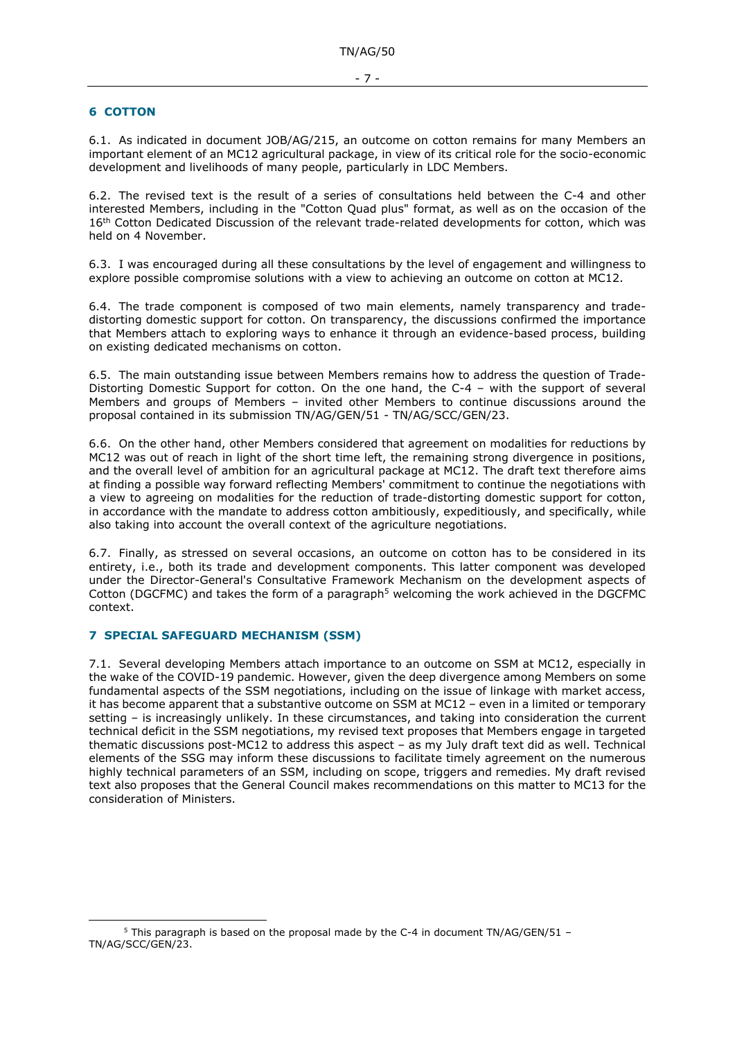#### <span id="page-6-0"></span>**6 COTTON**

6.1. As indicated in document JOB/AG/215, an outcome on cotton remains for many Members an important element of an MC12 agricultural package, in view of its critical role for the socio-economic development and livelihoods of many people, particularly in LDC Members.

6.2. The revised text is the result of a series of consultations held between the C-4 and other interested Members, including in the "Cotton Quad plus" format, as well as on the occasion of the 16<sup>th</sup> Cotton Dedicated Discussion of the relevant trade-related developments for cotton, which was held on 4 November.

6.3. I was encouraged during all these consultations by the level of engagement and willingness to explore possible compromise solutions with a view to achieving an outcome on cotton at MC12.

6.4. The trade component is composed of two main elements, namely transparency and tradedistorting domestic support for cotton. On transparency, the discussions confirmed the importance that Members attach to exploring ways to enhance it through an evidence-based process, building on existing dedicated mechanisms on cotton.

6.5. The main outstanding issue between Members remains how to address the question of Trade-Distorting Domestic Support for cotton. On the one hand, the C-4 – with the support of several Members and groups of Members – invited other Members to continue discussions around the proposal contained in its submission TN/AG/GEN/51 - TN/AG/SCC/GEN/23.

6.6. On the other hand, other Members considered that agreement on modalities for reductions by MC12 was out of reach in light of the short time left, the remaining strong divergence in positions, and the overall level of ambition for an agricultural package at MC12. The draft text therefore aims at finding a possible way forward reflecting Members' commitment to continue the negotiations with a view to agreeing on modalities for the reduction of trade-distorting domestic support for cotton, in accordance with the mandate to address cotton ambitiously, expeditiously, and specifically, while also taking into account the overall context of the agriculture negotiations.

6.7. Finally, as stressed on several occasions, an outcome on cotton has to be considered in its entirety, i.e., both its trade and development components. This latter component was developed under the Director-General's Consultative Framework Mechanism on the development aspects of Cotton (DGCFMC) and takes the form of a paragraph<sup>5</sup> welcoming the work achieved in the DGCFMC context.

# <span id="page-6-1"></span>**7 SPECIAL SAFEGUARD MECHANISM (SSM)**

7.1. Several developing Members attach importance to an outcome on SSM at MC12, especially in the wake of the COVID-19 pandemic. However, given the deep divergence among Members on some fundamental aspects of the SSM negotiations, including on the issue of linkage with market access, it has become apparent that a substantive outcome on SSM at MC12 – even in a limited or temporary setting – is increasingly unlikely. In these circumstances, and taking into consideration the current technical deficit in the SSM negotiations, my revised text proposes that Members engage in targeted thematic discussions post-MC12 to address this aspect – as my July draft text did as well. Technical elements of the SSG may inform these discussions to facilitate timely agreement on the numerous highly technical parameters of an SSM, including on scope, triggers and remedies. My draft revised text also proposes that the General Council makes recommendations on this matter to MC13 for the consideration of Ministers.

<sup>5</sup> This paragraph is based on the proposal made by the C-4 in document TN/AG/GEN/51 – TN/AG/SCC/GEN/23.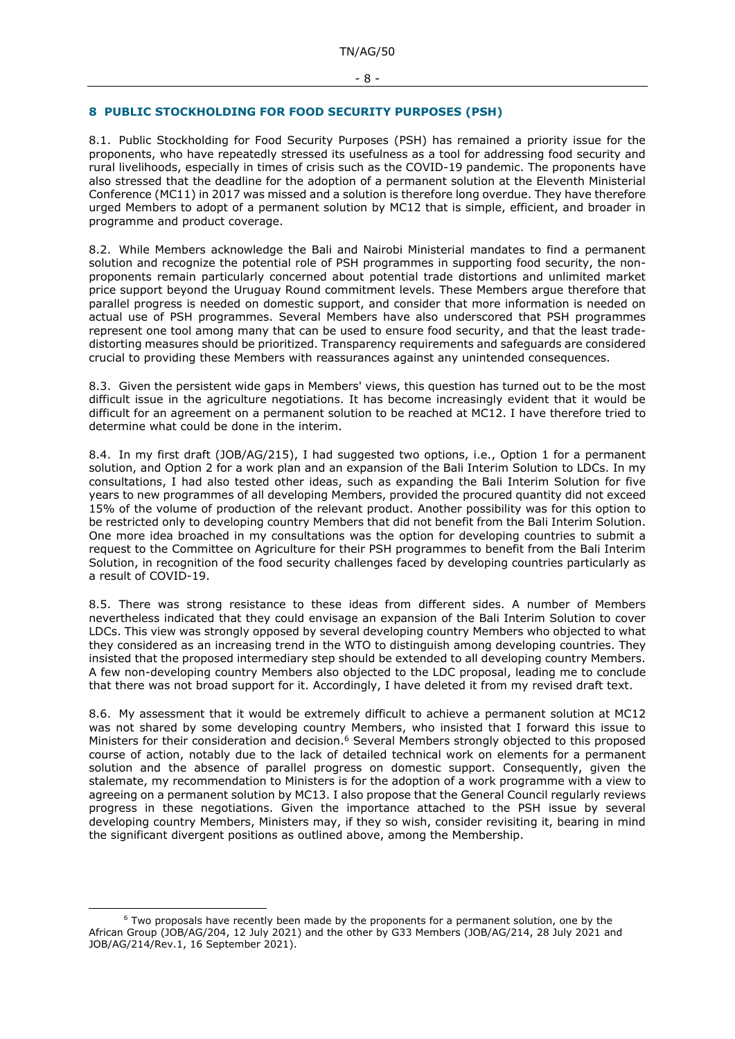## <span id="page-7-0"></span>**8 PUBLIC STOCKHOLDING FOR FOOD SECURITY PURPOSES (PSH)**

8.1. Public Stockholding for Food Security Purposes (PSH) has remained a priority issue for the proponents, who have repeatedly stressed its usefulness as a tool for addressing food security and rural livelihoods, especially in times of crisis such as the COVID-19 pandemic. The proponents have also stressed that the deadline for the adoption of a permanent solution at the Eleventh Ministerial Conference (MC11) in 2017 was missed and a solution is therefore long overdue. They have therefore urged Members to adopt of a permanent solution by MC12 that is simple, efficient, and broader in programme and product coverage.

8.2. While Members acknowledge the Bali and Nairobi Ministerial mandates to find a permanent solution and recognize the potential role of PSH programmes in supporting food security, the nonproponents remain particularly concerned about potential trade distortions and unlimited market price support beyond the Uruguay Round commitment levels. These Members argue therefore that parallel progress is needed on domestic support, and consider that more information is needed on actual use of PSH programmes. Several Members have also underscored that PSH programmes represent one tool among many that can be used to ensure food security, and that the least tradedistorting measures should be prioritized. Transparency requirements and safeguards are considered crucial to providing these Members with reassurances against any unintended consequences.

8.3. Given the persistent wide gaps in Members' views, this question has turned out to be the most difficult issue in the agriculture negotiations. It has become increasingly evident that it would be difficult for an agreement on a permanent solution to be reached at MC12. I have therefore tried to determine what could be done in the interim.

8.4. In my first draft (JOB/AG/215), I had suggested two options, i.e., Option 1 for a permanent solution, and Option 2 for a work plan and an expansion of the Bali Interim Solution to LDCs. In my consultations, I had also tested other ideas, such as expanding the Bali Interim Solution for five years to new programmes of all developing Members, provided the procured quantity did not exceed 15% of the volume of production of the relevant product. Another possibility was for this option to be restricted only to developing country Members that did not benefit from the Bali Interim Solution. One more idea broached in my consultations was the option for developing countries to submit a request to the Committee on Agriculture for their PSH programmes to benefit from the Bali Interim Solution, in recognition of the food security challenges faced by developing countries particularly as a result of COVID-19.

8.5. There was strong resistance to these ideas from different sides. A number of Members nevertheless indicated that they could envisage an expansion of the Bali Interim Solution to cover LDCs. This view was strongly opposed by several developing country Members who objected to what they considered as an increasing trend in the WTO to distinguish among developing countries. They insisted that the proposed intermediary step should be extended to all developing country Members. A few non-developing country Members also objected to the LDC proposal, leading me to conclude that there was not broad support for it. Accordingly, I have deleted it from my revised draft text.

8.6. My assessment that it would be extremely difficult to achieve a permanent solution at MC12 was not shared by some developing country Members, who insisted that I forward this issue to Ministers for their consideration and decision.<sup>6</sup> Several Members strongly objected to this proposed course of action, notably due to the lack of detailed technical work on elements for a permanent solution and the absence of parallel progress on domestic support. Consequently, given the stalemate, my recommendation to Ministers is for the adoption of a work programme with a view to agreeing on a permanent solution by MC13. I also propose that the General Council regularly reviews progress in these negotiations. Given the importance attached to the PSH issue by several developing country Members, Ministers may, if they so wish, consider revisiting it, bearing in mind the significant divergent positions as outlined above, among the Membership.

<sup>&</sup>lt;sup>6</sup> Two proposals have recently been made by the proponents for a permanent solution, one by the African Group (JOB/AG/204, 12 July 2021) and the other by G33 Members (JOB/AG/214, 28 July 2021 and JOB/AG/214/Rev.1, 16 September 2021).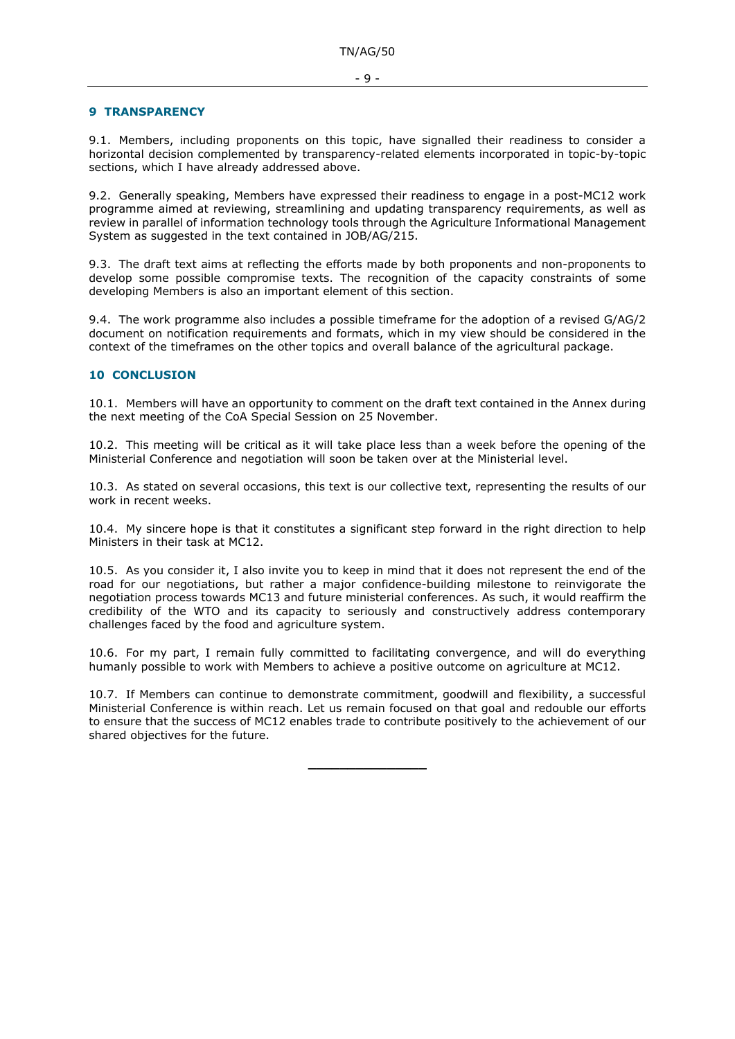### <span id="page-8-0"></span>**9 TRANSPARENCY**

9.1. Members, including proponents on this topic, have signalled their readiness to consider a horizontal decision complemented by transparency-related elements incorporated in topic-by-topic sections, which I have already addressed above.

9.2. Generally speaking, Members have expressed their readiness to engage in a post-MC12 work programme aimed at reviewing, streamlining and updating transparency requirements, as well as review in parallel of information technology tools through the Agriculture Informational Management System as suggested in the text contained in JOB/AG/215.

9.3. The draft text aims at reflecting the efforts made by both proponents and non-proponents to develop some possible compromise texts. The recognition of the capacity constraints of some developing Members is also an important element of this section.

9.4. The work programme also includes a possible timeframe for the adoption of a revised G/AG/2 document on notification requirements and formats, which in my view should be considered in the context of the timeframes on the other topics and overall balance of the agricultural package.

# <span id="page-8-1"></span>**10 CONCLUSION**

10.1. Members will have an opportunity to comment on the draft text contained in the Annex during the next meeting of the CoA Special Session on 25 November.

10.2. This meeting will be critical as it will take place less than a week before the opening of the Ministerial Conference and negotiation will soon be taken over at the Ministerial level.

10.3. As stated on several occasions, this text is our collective text, representing the results of our work in recent weeks.

10.4. My sincere hope is that it constitutes a significant step forward in the right direction to help Ministers in their task at MC12.

10.5. As you consider it, I also invite you to keep in mind that it does not represent the end of the road for our negotiations, but rather a major confidence-building milestone to reinvigorate the negotiation process towards MC13 and future ministerial conferences. As such, it would reaffirm the credibility of the WTO and its capacity to seriously and constructively address contemporary challenges faced by the food and agriculture system.

10.6. For my part, I remain fully committed to facilitating convergence, and will do everything humanly possible to work with Members to achieve a positive outcome on agriculture at MC12.

10.7. If Members can continue to demonstrate commitment, goodwill and flexibility, a successful Ministerial Conference is within reach. Let us remain focused on that goal and redouble our efforts to ensure that the success of MC12 enables trade to contribute positively to the achievement of our shared objectives for the future.

**\_\_\_\_\_\_\_\_\_\_\_\_\_\_\_**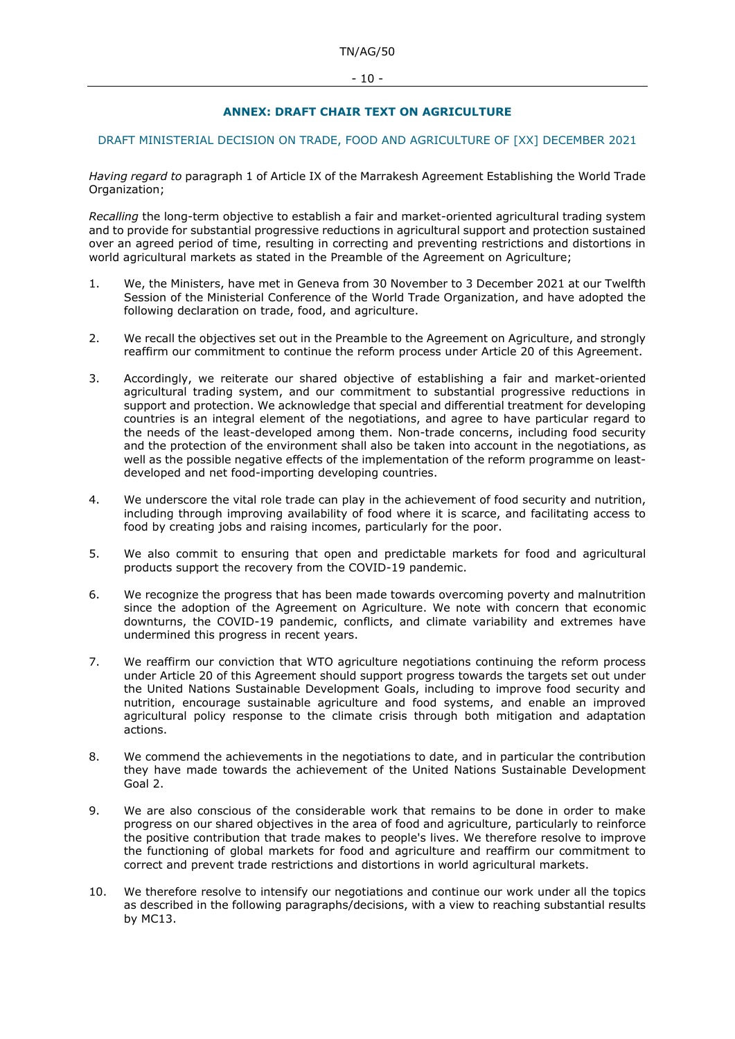# **ANNEX: DRAFT CHAIR TEXT ON AGRICULTURE**

# <span id="page-9-1"></span><span id="page-9-0"></span>DRAFT MINISTERIAL DECISION ON TRADE, FOOD AND AGRICULTURE OF [XX] DECEMBER 2021

*Having regard to* paragraph 1 of Article IX of the Marrakesh Agreement Establishing the World Trade Organization:

*Recalling* the long-term objective to establish a fair and market-oriented agricultural trading system and to provide for substantial progressive reductions in agricultural support and protection sustained over an agreed period of time, resulting in correcting and preventing restrictions and distortions in world agricultural markets as stated in the Preamble of the Agreement on Agriculture;

- 1. We, the Ministers, have met in Geneva from 30 November to 3 December 2021 at our Twelfth Session of the Ministerial Conference of the World Trade Organization, and have adopted the following declaration on trade, food, and agriculture.
- 2. We recall the objectives set out in the Preamble to the Agreement on Agriculture, and strongly reaffirm our commitment to continue the reform process under Article 20 of this Agreement.
- 3. Accordingly, we reiterate our shared objective of establishing a fair and market-oriented agricultural trading system, and our commitment to substantial progressive reductions in support and protection. We acknowledge that special and differential treatment for developing countries is an integral element of the negotiations, and agree to have particular regard to the needs of the least-developed among them. Non-trade concerns, including food security and the protection of the environment shall also be taken into account in the negotiations, as well as the possible negative effects of the implementation of the reform programme on leastdeveloped and net food-importing developing countries.
- 4. We underscore the vital role trade can play in the achievement of food security and nutrition, including through improving availability of food where it is scarce, and facilitating access to food by creating jobs and raising incomes, particularly for the poor.
- 5. We also commit to ensuring that open and predictable markets for food and agricultural products support the recovery from the COVID-19 pandemic.
- 6. We recognize the progress that has been made towards overcoming poverty and malnutrition since the adoption of the Agreement on Agriculture. We note with concern that economic downturns, the COVID-19 pandemic, conflicts, and climate variability and extremes have undermined this progress in recent years.
- 7. We reaffirm our conviction that WTO agriculture negotiations continuing the reform process under Article 20 of this Agreement should support progress towards the targets set out under the United Nations Sustainable Development Goals, including to improve food security and nutrition, encourage sustainable agriculture and food systems, and enable an improved agricultural policy response to the climate crisis through both mitigation and adaptation actions.
- 8. We commend the achievements in the negotiations to date, and in particular the contribution they have made towards the achievement of the United Nations Sustainable Development Goal 2.
- 9. We are also conscious of the considerable work that remains to be done in order to make progress on our shared objectives in the area of food and agriculture, particularly to reinforce the positive contribution that trade makes to people's lives. We therefore resolve to improve the functioning of global markets for food and agriculture and reaffirm our commitment to correct and prevent trade restrictions and distortions in world agricultural markets.
- 10. We therefore resolve to intensify our negotiations and continue our work under all the topics as described in the following paragraphs/decisions, with a view to reaching substantial results by MC13.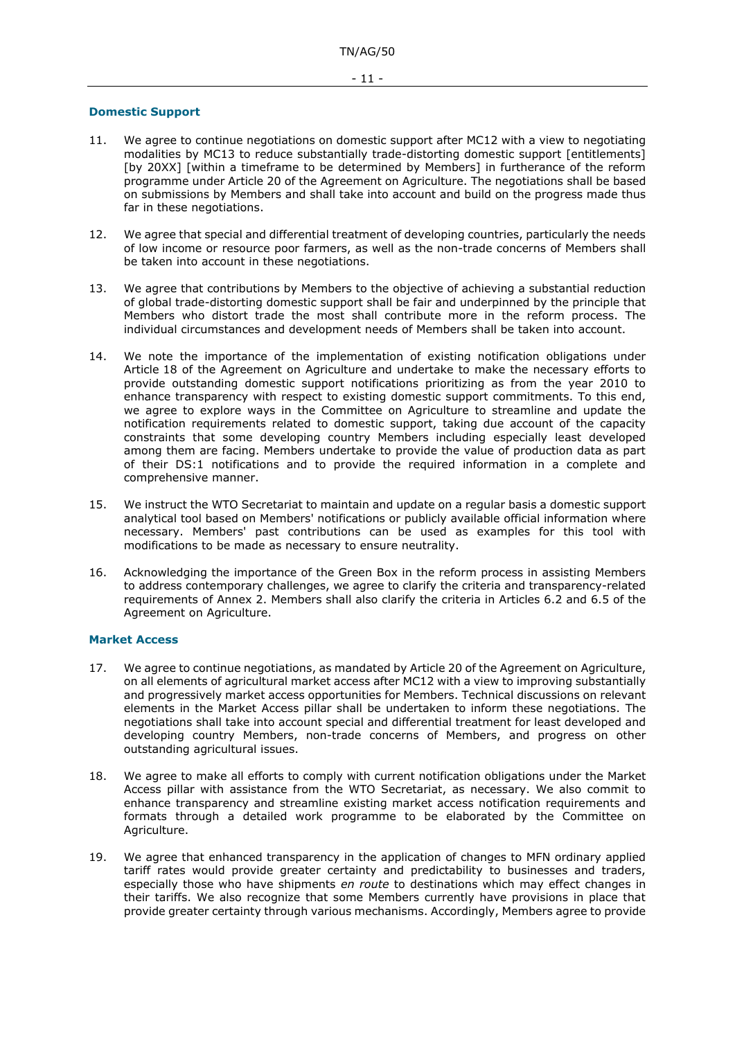### <span id="page-10-0"></span>**Domestic Support**

- 11. We agree to continue negotiations on domestic support after MC12 with a view to negotiating modalities by MC13 to reduce substantially trade-distorting domestic support [entitlements] [by 20XX] [within a timeframe to be determined by Members] in furtherance of the reform programme under Article 20 of the Agreement on Agriculture. The negotiations shall be based on submissions by Members and shall take into account and build on the progress made thus far in these negotiations.
- 12. We agree that special and differential treatment of developing countries, particularly the needs of low income or resource poor farmers, as well as the non-trade concerns of Members shall be taken into account in these negotiations.
- 13. We agree that contributions by Members to the objective of achieving a substantial reduction of global trade-distorting domestic support shall be fair and underpinned by the principle that Members who distort trade the most shall contribute more in the reform process. The individual circumstances and development needs of Members shall be taken into account.
- 14. We note the importance of the implementation of existing notification obligations under Article 18 of the Agreement on Agriculture and undertake to make the necessary efforts to provide outstanding domestic support notifications prioritizing as from the year 2010 to enhance transparency with respect to existing domestic support commitments. To this end, we agree to explore ways in the Committee on Agriculture to streamline and update the notification requirements related to domestic support, taking due account of the capacity constraints that some developing country Members including especially least developed among them are facing. Members undertake to provide the value of production data as part of their DS:1 notifications and to provide the required information in a complete and comprehensive manner.
- 15. We instruct the WTO Secretariat to maintain and update on a regular basis a domestic support analytical tool based on Members' notifications or publicly available official information where necessary. Members' past contributions can be used as examples for this tool with modifications to be made as necessary to ensure neutrality.
- 16. Acknowledging the importance of the Green Box in the reform process in assisting Members to address contemporary challenges, we agree to clarify the criteria and transparency-related requirements of Annex 2. Members shall also clarify the criteria in Articles 6.2 and 6.5 of the Agreement on Agriculture.

# <span id="page-10-1"></span>**Market Access**

- 17. We agree to continue negotiations, as mandated by Article 20 of the Agreement on Agriculture, on all elements of agricultural market access after MC12 with a view to improving substantially and progressively market access opportunities for Members. Technical discussions on relevant elements in the Market Access pillar shall be undertaken to inform these negotiations. The negotiations shall take into account special and differential treatment for least developed and developing country Members, non-trade concerns of Members, and progress on other outstanding agricultural issues.
- 18. We agree to make all efforts to comply with current notification obligations under the Market Access pillar with assistance from the WTO Secretariat, as necessary. We also commit to enhance transparency and streamline existing market access notification requirements and formats through a detailed work programme to be elaborated by the Committee on Agriculture.
- 19. We agree that enhanced transparency in the application of changes to MFN ordinary applied tariff rates would provide greater certainty and predictability to businesses and traders, especially those who have shipments *en route* to destinations which may effect changes in their tariffs. We also recognize that some Members currently have provisions in place that provide greater certainty through various mechanisms. Accordingly, Members agree to provide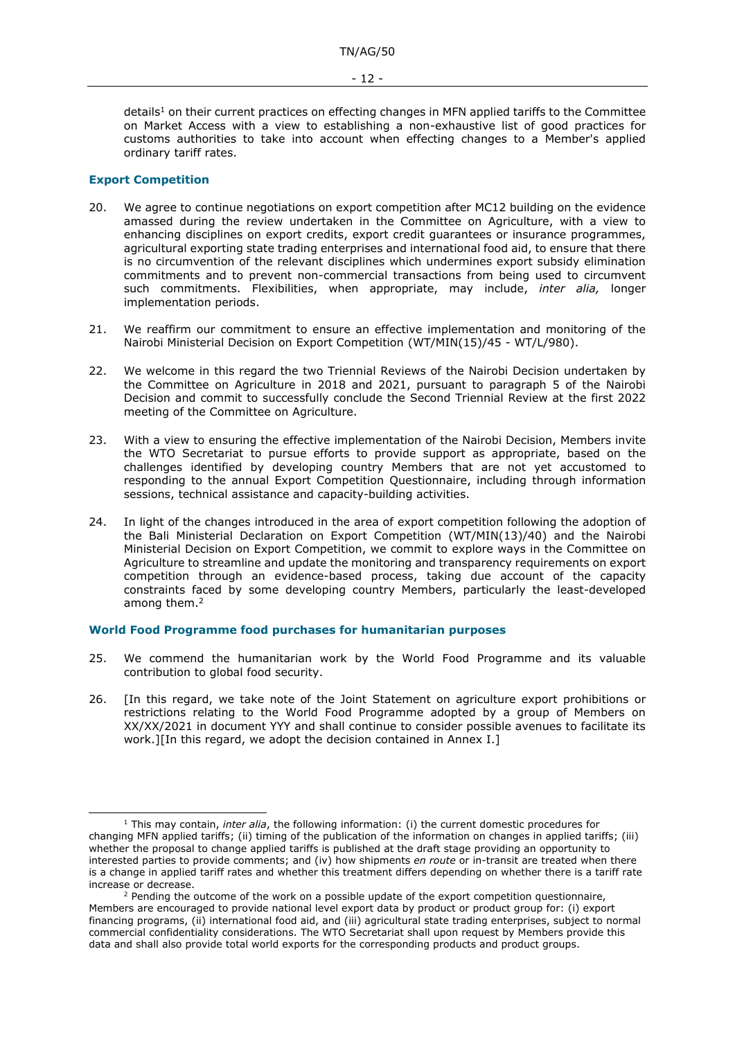details<sup>1</sup> on their current practices on effecting changes in MFN applied tariffs to the Committee on Market Access with a view to establishing a non-exhaustive list of good practices for customs authorities to take into account when effecting changes to a Member's applied ordinary tariff rates.

#### <span id="page-11-0"></span>**Export Competition**

- 20. We agree to continue negotiations on export competition after MC12 building on the evidence amassed during the review undertaken in the Committee on Agriculture, with a view to enhancing disciplines on export credits, export credit guarantees or insurance programmes, agricultural exporting state trading enterprises and international food aid, to ensure that there is no circumvention of the relevant disciplines which undermines export subsidy elimination commitments and to prevent non-commercial transactions from being used to circumvent such commitments. Flexibilities, when appropriate, may include, *inter alia,* longer implementation periods.
- 21. We reaffirm our commitment to ensure an effective implementation and monitoring of the Nairobi Ministerial Decision on Export Competition (WT/MIN(15)/45 - WT/L/980).
- 22. We welcome in this regard the two Triennial Reviews of the Nairobi Decision undertaken by the Committee on Agriculture in 2018 and 2021, pursuant to paragraph 5 of the Nairobi Decision and commit to successfully conclude the Second Triennial Review at the first 2022 meeting of the Committee on Agriculture.
- 23. With a view to ensuring the effective implementation of the Nairobi Decision, Members invite the WTO Secretariat to pursue efforts to provide support as appropriate, based on the challenges identified by developing country Members that are not yet accustomed to responding to the annual Export Competition Questionnaire, including through information sessions, technical assistance and capacity-building activities.
- 24. In light of the changes introduced in the area of export competition following the adoption of the Bali Ministerial Declaration on Export Competition (WT/MIN(13)/40) and the Nairobi Ministerial Decision on Export Competition, we commit to explore ways in the Committee on Agriculture to streamline and update the monitoring and transparency requirements on export competition through an evidence-based process, taking due account of the capacity constraints faced by some developing country Members, particularly the least-developed among them. 2

#### <span id="page-11-1"></span>**World Food Programme food purchases for humanitarian purposes**

- 25. We commend the humanitarian work by the World Food Programme and its valuable contribution to global food security.
- 26. [In this regard, we take note of the Joint Statement on agriculture export prohibitions or restrictions relating to the World Food Programme adopted by a group of Members on XX/XX/2021 in document YYY and shall continue to consider possible avenues to facilitate its work.][In this regard, we adopt the decision contained in Annex I.]

<sup>1</sup> This may contain, *inter alia*, the following information: (i) the current domestic procedures for changing MFN applied tariffs; (ii) timing of the publication of the information on changes in applied tariffs; (iii) whether the proposal to change applied tariffs is published at the draft stage providing an opportunity to interested parties to provide comments; and (iv) how shipments *en route* or in-transit are treated when there is a change in applied tariff rates and whether this treatment differs depending on whether there is a tariff rate increase or decrease.

 $2$  Pending the outcome of the work on a possible update of the export competition questionnaire, Members are encouraged to provide national level export data by product or product group for: (i) export financing programs, (ii) international food aid, and (iii) agricultural state trading enterprises, subject to normal commercial confidentiality considerations. The WTO Secretariat shall upon request by Members provide this data and shall also provide total world exports for the corresponding products and product groups.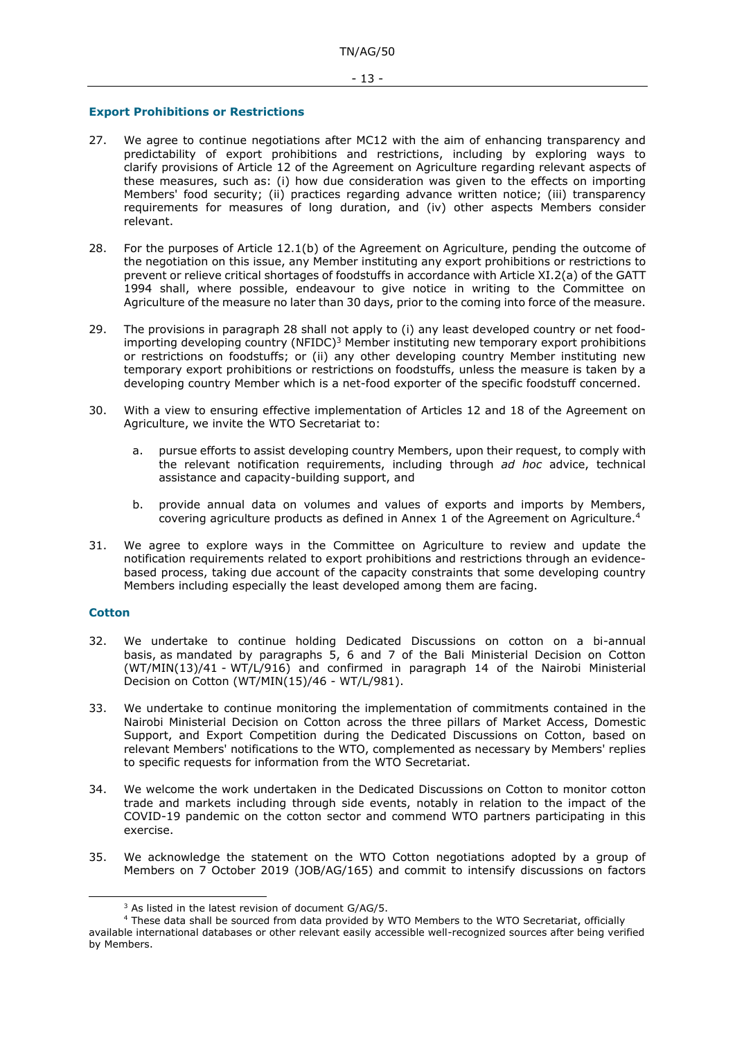### <span id="page-12-0"></span>**Export Prohibitions or Restrictions**

- 27. We agree to continue negotiations after MC12 with the aim of enhancing transparency and predictability of export prohibitions and restrictions, including by exploring ways to clarify provisions of Article 12 of the Agreement on Agriculture regarding relevant aspects of these measures, such as: (i) how due consideration was given to the effects on importing Members' food security; (ii) practices regarding advance written notice; (iii) transparency requirements for measures of long duration, and (iv) other aspects Members consider relevant.
- 28. For the purposes of Article 12.1(b) of the Agreement on Agriculture, pending the outcome of the negotiation on this issue, any Member instituting any export prohibitions or restrictions to prevent or relieve critical shortages of foodstuffs in accordance with Article XI.2(a) of the GATT 1994 shall, where possible, endeavour to give notice in writing to the Committee on Agriculture of the measure no later than 30 days, prior to the coming into force of the measure.
- 29. The provisions in paragraph 28 shall not apply to (i) any least developed country or net foodimporting developing country  $(NFIDC)^3$  Member instituting new temporary export prohibitions or restrictions on foodstuffs; or (ii) any other developing country Member instituting new temporary export prohibitions or restrictions on foodstuffs, unless the measure is taken by a developing country Member which is a net-food exporter of the specific foodstuff concerned.
- 30. With a view to ensuring effective implementation of Articles 12 and 18 of the Agreement on Agriculture, we invite the WTO Secretariat to:
	- a. pursue efforts to assist developing country Members, upon their request, to comply with the relevant notification requirements, including through *ad hoc* advice, technical assistance and capacity-building support, and
	- b. provide annual data on volumes and values of exports and imports by Members, covering agriculture products as defined in Annex 1 of the Agreement on Agriculture.<sup>4</sup>
- 31. We agree to explore ways in the Committee on Agriculture to review and update the notification requirements related to export prohibitions and restrictions through an evidencebased process, taking due account of the capacity constraints that some developing country Members including especially the least developed among them are facing.

# <span id="page-12-1"></span>**Cotton**

- 32. We undertake to continue holding Dedicated Discussions on cotton on a bi-annual basis, as mandated by paragraphs 5, 6 and 7 of the Bali Ministerial Decision on Cotton (WT/MIN(13)/41 - WT/L/916) and confirmed in paragraph 14 of the Nairobi Ministerial Decision on Cotton (WT/MIN(15)/46 - WT/L/981).
- 33. We undertake to continue monitoring the implementation of commitments contained in the Nairobi Ministerial Decision on Cotton across the three pillars of Market Access, Domestic Support, and Export Competition during the Dedicated Discussions on Cotton, based on relevant Members' notifications to the WTO, complemented as necessary by Members' replies to specific requests for information from the WTO Secretariat.
- 34. We welcome the work undertaken in the Dedicated Discussions on Cotton to monitor cotton trade and markets including through side events, notably in relation to the impact of the COVID-19 pandemic on the cotton sector and commend WTO partners participating in this exercise.
- 35. We acknowledge the statement on the WTO Cotton negotiations adopted by a group of Members on 7 October 2019 (JOB/AG/165) and commit to intensify discussions on factors

<sup>&</sup>lt;sup>3</sup> As listed in the latest revision of document G/AG/5.

<sup>4</sup> These data shall be sourced from data provided by WTO Members to the WTO Secretariat, officially available international databases or other relevant easily accessible well-recognized sources after being verified by Members.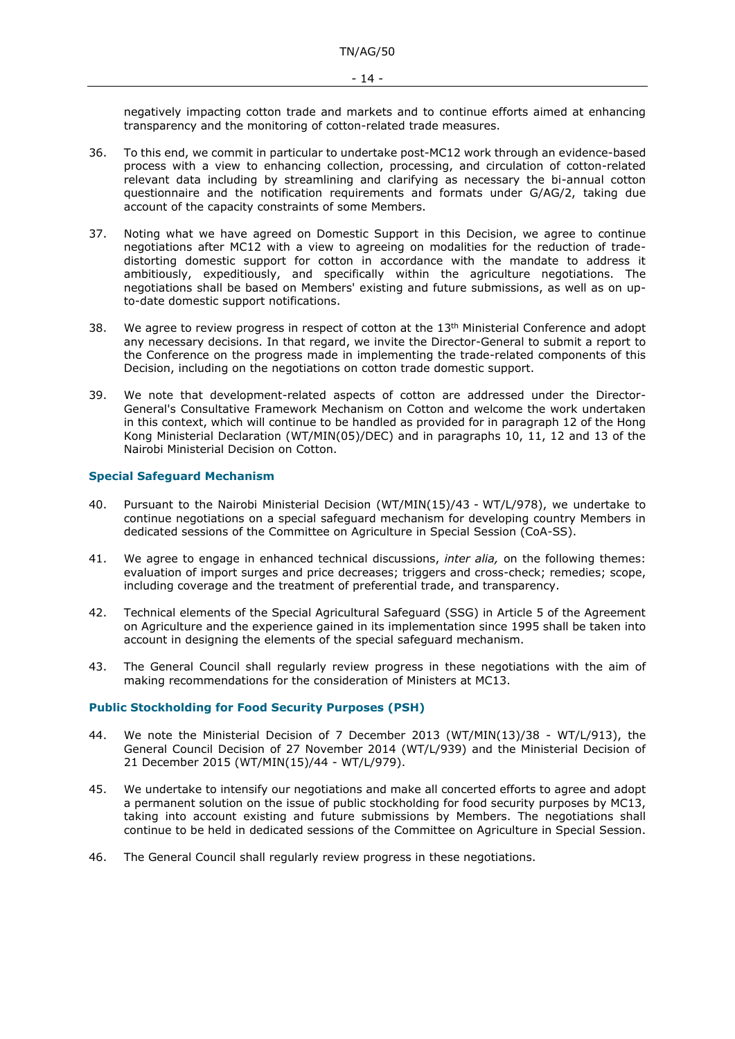negatively impacting cotton trade and markets and to continue efforts aimed at enhancing transparency and the monitoring of cotton-related trade measures.

- 36. To this end, we commit in particular to undertake post-MC12 work through an evidence-based process with a view to enhancing collection, processing, and circulation of cotton-related relevant data including by streamlining and clarifying as necessary the bi-annual cotton questionnaire and the notification requirements and formats under G/AG/2, taking due account of the capacity constraints of some Members.
- 37. Noting what we have agreed on Domestic Support in this Decision, we agree to continue negotiations after MC12 with a view to agreeing on modalities for the reduction of tradedistorting domestic support for cotton in accordance with the mandate to address it ambitiously, expeditiously, and specifically within the agriculture negotiations. The negotiations shall be based on Members' existing and future submissions, as well as on upto-date domestic support notifications.
- 38. We agree to review progress in respect of cotton at the  $13<sup>th</sup>$  Ministerial Conference and adopt any necessary decisions. In that regard, we invite the Director-General to submit a report to the Conference on the progress made in implementing the trade-related components of this Decision, including on the negotiations on cotton trade domestic support.
- 39. We note that development-related aspects of cotton are addressed under the Director-General's Consultative Framework Mechanism on Cotton and welcome the work undertaken in this context, which will continue to be handled as provided for in paragraph 12 of the Hong Kong Ministerial Declaration (WT/MIN(05)/DEC) and in paragraphs 10, 11, 12 and 13 of the Nairobi Ministerial Decision on Cotton.

# <span id="page-13-0"></span>**Special Safeguard Mechanism**

- 40. Pursuant to the Nairobi Ministerial Decision (WT/MIN(15)/43 WT/L/978), we undertake to continue negotiations on a special safeguard mechanism for developing country Members in dedicated sessions of the Committee on Agriculture in Special Session (CoA-SS).
- 41. We agree to engage in enhanced technical discussions, *inter alia,* on the following themes: evaluation of import surges and price decreases; triggers and cross-check; remedies; scope, including coverage and the treatment of preferential trade, and transparency.
- 42. Technical elements of the Special Agricultural Safeguard (SSG) in Article 5 of the Agreement on Agriculture and the experience gained in its implementation since 1995 shall be taken into account in designing the elements of the special safeguard mechanism.
- 43. The General Council shall regularly review progress in these negotiations with the aim of making recommendations for the consideration of Ministers at MC13.

# <span id="page-13-1"></span>**Public Stockholding for Food Security Purposes (PSH)**

- 44. We note the Ministerial Decision of 7 December 2013 (WT/MIN(13)/38 WT/L/913), the General Council Decision of 27 November 2014 (WT/L/939) and the Ministerial Decision of 21 December 2015 (WT/MIN(15)/44 - WT/L/979).
- 45. We undertake to intensify our negotiations and make all concerted efforts to agree and adopt a permanent solution on the issue of public stockholding for food security purposes by MC13, taking into account existing and future submissions by Members. The negotiations shall continue to be held in dedicated sessions of the Committee on Agriculture in Special Session.
- 46. The General Council shall regularly review progress in these negotiations.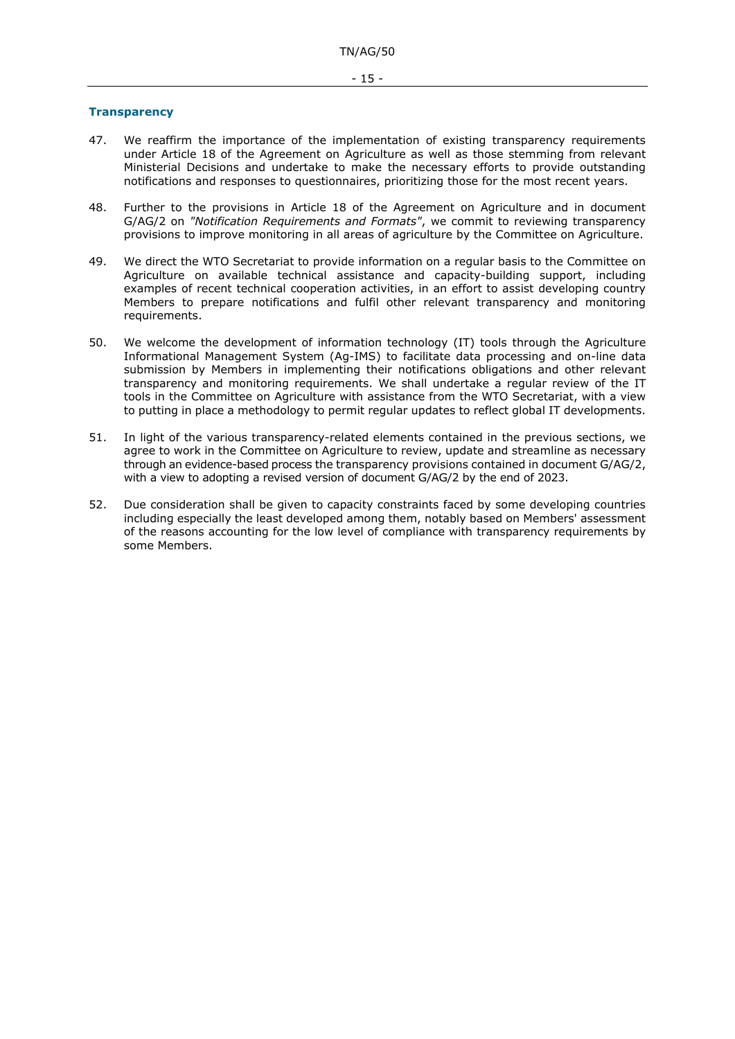#### <span id="page-14-0"></span>**Transparency**

- 47. We reaffirm the importance of the implementation of existing transparency requirements under Article 18 of the Agreement on Agriculture as well as those stemming from relevant Ministerial Decisions and undertake to make the necessary efforts to provide outstanding notifications and responses to questionnaires, prioritizing those for the most recent years.
- 48. Further to the provisions in Article 18 of the Agreement on Agriculture and in document G/AG/2 on *"Notification Requirements and Formats"*, we commit to reviewing transparency provisions to improve monitoring in all areas of agriculture by the Committee on Agriculture.
- 49. We direct the WTO Secretariat to provide information on a regular basis to the Committee on Agriculture on available technical assistance and capacity-building support, including examples of recent technical cooperation activities, in an effort to assist developing country Members to prepare notifications and fulfil other relevant transparency and monitoring requirements.
- 50. We welcome the development of information technology (IT) tools through the Agriculture Informational Management System (Ag-IMS) to facilitate data processing and on-line data submission by Members in implementing their notifications obligations and other relevant transparency and monitoring requirements. We shall undertake a regular review of the IT tools in the Committee on Agriculture with assistance from the WTO Secretariat, with a view to putting in place a methodology to permit regular updates to reflect global IT developments.
- 51. In light of the various transparency-related elements contained in the previous sections, we agree to work in the Committee on Agriculture to review, update and streamline as necessary through an evidence-based process the transparency provisions contained in document G/AG/2, with a view to adopting a revised version of document G/AG/2 by the end of 2023.
- 52. Due consideration shall be given to capacity constraints faced by some developing countries including especially the least developed among them, notably based on Members' assessment of the reasons accounting for the low level of compliance with transparency requirements by some Members.